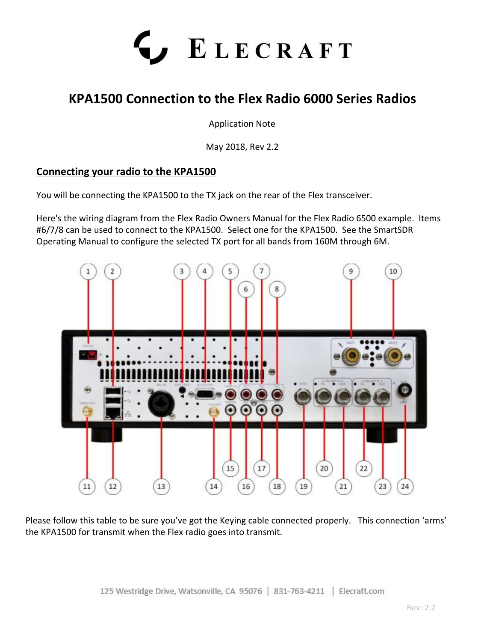

## **KPA1500 Connection to the Flex Radio 6000 Series Radios**

Application Note

May 2018, Rev 2.2

## **Connecting your radio to the KPA1500**

You will be connecting the KPA1500 to the TX jack on the rear of the Flex transceiver.

Here's the wiring diagram from the Flex Radio Owners Manual for the Flex Radio 6500 example. Items #6/7/8 can be used to connect to the KPA1500. Select one for the KPA1500. See the SmartSDR Operating Manual to configure the selected TX port for all bands from 160M through 6M.



Please follow this table to be sure you've got the Keying cable connected properly. This connection 'arms' the KPA1500 for transmit when the Flex radio goes into transmit.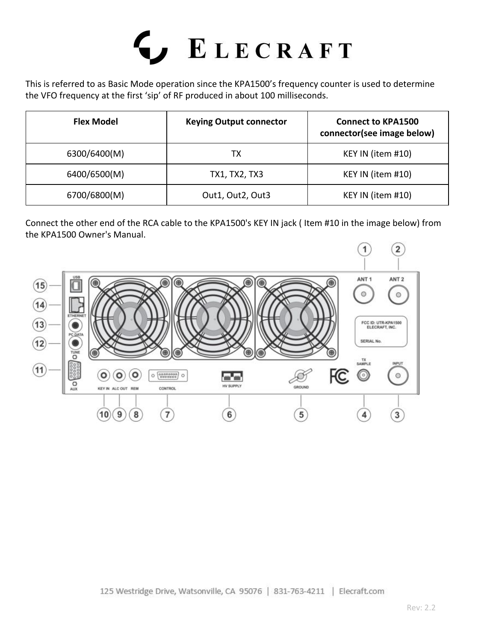# LECRAFT<sup></sup>

This is referred to as Basic Mode operation since the KPA1500's frequency counter is used to determine the VFO frequency at the first 'sip' of RF produced in about 100 milliseconds.

| <b>Flex Model</b> | <b>Keying Output connector</b> | <b>Connect to KPA1500</b><br>connector(see image below) |
|-------------------|--------------------------------|---------------------------------------------------------|
| 6300/6400(M)      | TХ                             | KEY IN (item #10)                                       |
| 6400/6500(M)      | TX1, TX2, TX3                  | KEY IN (item #10)                                       |
| 6700/6800(M)      | Out1, Out2, Out3               | KEY IN (item #10)                                       |

Connect the other end of the RCA cable to the KPA1500's KEY IN jack ( Item #10 in the image below) from the KPA1500 Owner's Manual.

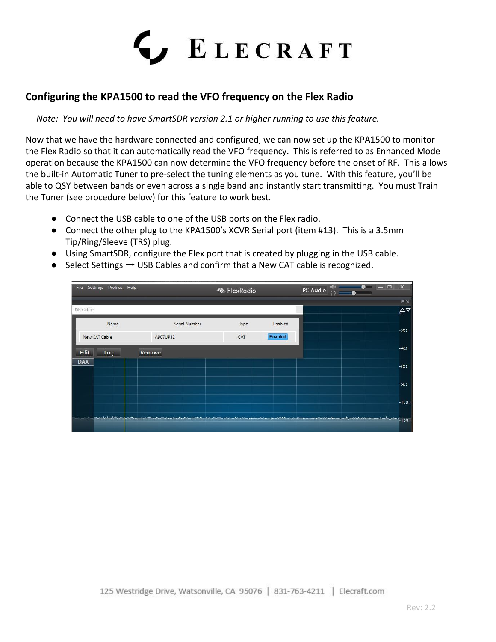## ς, ELECRAFT

## **Configuring the KPA1500 to read the VFO frequency on the Flex Radio**

### *Note: You will need to have SmartSDR version 2.1 or higher running to use this feature.*

Now that we have the hardware connected and configured, we can now set up the KPA1500 to monitor the Flex Radio so that it can automatically read the VFO frequency. This is referred to as Enhanced Mode operation because the KPA1500 can now determine the VFO frequency before the onset of RF. This allows the built-in Automatic Tuner to pre-select the tuning elements as you tune. With this feature, you'll be able to QSY between bands or even across a single band and instantly start transmitting. You must Train the Tuner (see procedure below) for this feature to work best.

- Connect the USB cable to one of the USB ports on the Flex radio.
- Connect the other plug to the KPA1500's XCVR Serial port (item #13). This is a 3.5mm Tip/Ring/Sleeve (TRS) plug.
- Using SmartSDR, configure the Flex port that is created by plugging in the USB cable.
- $\bullet$  Select Settings  $\rightarrow$  USB Cables and confirm that a New CAT cable is recognized.

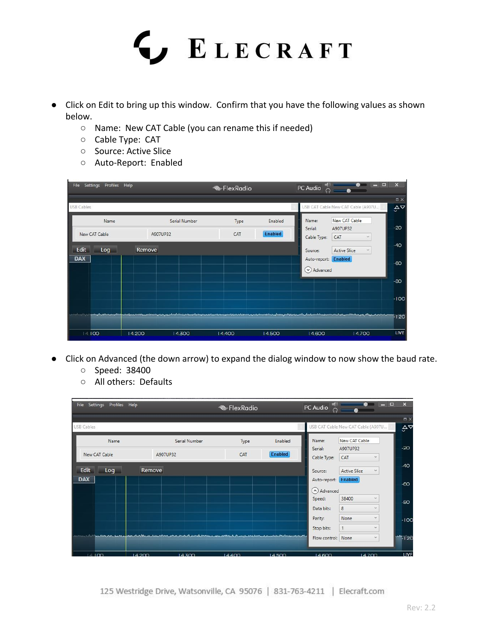

- Click on Edit to bring up this window. Confirm that you have the following values as shown below.
	- Name: New CAT Cable (you can rename this if needed)
	- Cable Type: CAT
	- Source: Active Slice
	- Auto-Report: Enabled



- Click on Advanced (the down arrow) to expand the dialog window to now show the baud rate.
	- Speed: 38400
	- All others: Defaults

| $\mathbf{x}$    | $ -$<br>æ                          | PC Audio<br>ດ              |         | <b>ElexRadio</b>      |  |                                                                                                                                                                                                                                      |      | Settings Profiles Help | File              |
|-----------------|------------------------------------|----------------------------|---------|-----------------------|--|--------------------------------------------------------------------------------------------------------------------------------------------------------------------------------------------------------------------------------------|------|------------------------|-------------------|
| $\Box$ $\times$ |                                    |                            |         |                       |  |                                                                                                                                                                                                                                      |      |                        |                   |
| $A^{\nabla}$    | USB CAT Cable New CAT Cable (A907U |                            |         |                       |  |                                                                                                                                                                                                                                      |      |                        | <b>USB Cables</b> |
|                 | New CAT Cable                      | Name:                      | Enabled | Serial Number<br>Type |  |                                                                                                                                                                                                                                      | Name |                        |                   |
| $-20$           | A907UP32                           | Serial:                    |         |                       |  |                                                                                                                                                                                                                                      |      |                        |                   |
|                 | CAT<br>$\sim$                      | Cable Type:                | Enabled | CAT                   |  | A907UP32                                                                                                                                                                                                                             |      | New CAT Cable          |                   |
| $-40$           | <b>Active Slice</b><br>$\check{~}$ | Source:                    |         |                       |  | Remove                                                                                                                                                                                                                               |      | Log                    | Edit              |
|                 |                                    | Auto-report: Enabled       |         |                       |  |                                                                                                                                                                                                                                      |      |                        | <b>DAX</b>        |
| $-60$           |                                    | (A) Advanced               |         |                       |  |                                                                                                                                                                                                                                      |      |                        |                   |
| $-80$           | 38400<br>v                         | Speed:                     |         |                       |  |                                                                                                                                                                                                                                      |      |                        |                   |
|                 | $\omega$                           | 8<br>Data bits:            |         |                       |  |                                                                                                                                                                                                                                      |      |                        |                   |
| $-100$          | None                               | Parity:                    |         |                       |  |                                                                                                                                                                                                                                      |      |                        |                   |
|                 | $\sim$                             | Stop bits:<br>$\mathbf{1}$ |         |                       |  |                                                                                                                                                                                                                                      |      |                        |                   |
| $M = 120$       | $\dot{\mathbf{v}}$                 | Flow control: None         |         |                       |  | <u>, 1, 1, Landsmarg, Lands, Landsburg, Android, Android, Android, Android, Android, Android, Android, Android, Android, Android, Android, Android, Android, Android, Android, Android, Android, Android, Android, Android, Andr</u> |      |                        |                   |

125 Westridge Drive, Watsonville, CA 95076 | 831-763-4211 | Elecraft.com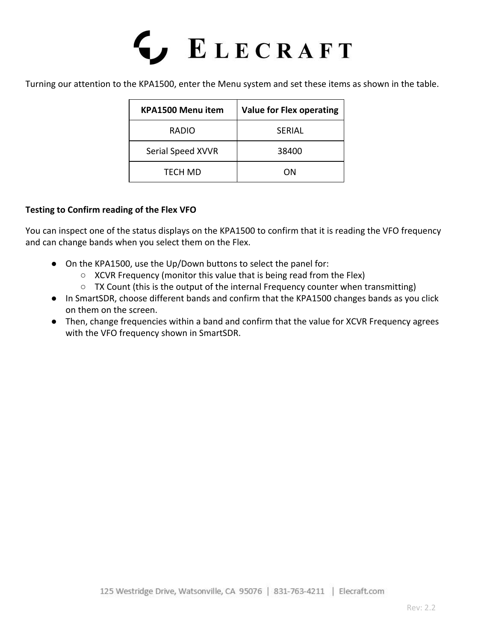# LECRAFT<sup></sup>

Turning our attention to the KPA1500, enter the Menu system and set these items as shown in the table.

| <b>KPA1500 Menu item</b> | <b>Value for Flex operating</b> |  |  |  |
|--------------------------|---------------------------------|--|--|--|
| <b>RADIO</b>             | <b>SFRIAL</b>                   |  |  |  |
| Serial Speed XVVR        | 38400                           |  |  |  |
| TECH MD                  | ΩN                              |  |  |  |

## **Testing to Confirm reading of the Flex VFO**

You can inspect one of the status displays on the KPA1500 to confirm that it is reading the VFO frequency and can change bands when you select them on the Flex.

- On the KPA1500, use the Up/Down buttons to select the panel for:
	- XCVR Frequency (monitor this value that is being read from the Flex)
	- TX Count (this is the output of the internal Frequency counter when transmitting)
- In SmartSDR, choose different bands and confirm that the KPA1500 changes bands as you click on them on the screen.
- Then, change frequencies within a band and confirm that the value for XCVR Frequency agrees with the VFO frequency shown in SmartSDR.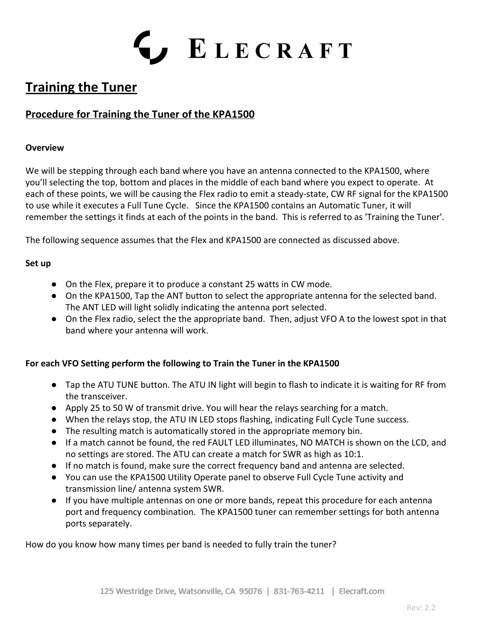

## **Training the Tuner**

## **Procedure for Training the Tuner of the KPA1500**

#### **Overview**

We will be stepping through each band where you have an antenna connected to the KPA1500, where you'll selecting the top, bottom and places in the middle of each band where you expect to operate. At each of these points, we will be causing the Flex radio to emit a steady-state, CW RF signal for the KPA1500 to use while it executes a Full Tune Cycle. Since the KPA1500 contains an Automatic Tuner, it will remember the settings it finds at each of the points in the band. This is referred to as 'Training the Tuner'.

The following sequence assumes that the Flex and KPA1500 are connected as discussed above.

### **Set up**

- On the Flex, prepare it to produce a constant 25 watts in CW mode.
- On the KPA1500, Tap the ANT button to select the appropriate antenna for the selected band. The ANT LED will light solidly indicating the antenna port selected.
- On the Flex radio, select the the appropriate band. Then, adjust VFO A to the lowest spot in that band where your antenna will work.

## **For each VFO Setting perform the following to Train the Tuner in the KPA1500**

- Tap the ATU TUNE button. The ATU IN light will begin to flash to indicate it is waiting for RF from the transceiver.
- Apply 25 to 50 W of transmit drive. You will hear the relays searching for a match.
- When the relays stop, the ATU IN LED stops flashing, indicating Full Cycle Tune success.
- The resulting match is automatically stored in the appropriate memory bin.
- If a match cannot be found, the red FAULT LED illuminates, NO MATCH is shown on the LCD, and no settings are stored. The ATU can create a match for SWR as high as 10:1.
- If no match is found, make sure the correct frequency band and antenna are selected.
- You can use the KPA1500 Utility Operate panel to observe Full Cycle Tune activity and transmission line/ antenna system SWR.
- If you have multiple antennas on one or more bands, repeat this procedure for each antenna port and frequency combination. The KPA1500 tuner can remember settings for both antenna ports separately.

How do you know how many times per band is needed to fully train the tuner?